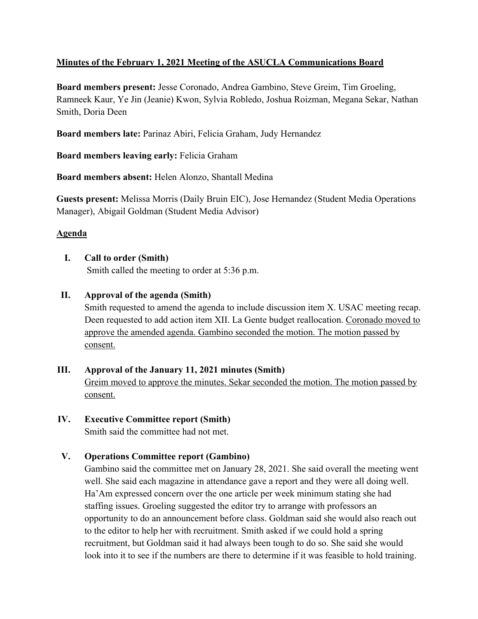# **Minutes of the February 1, 2021 Meeting of the ASUCLA Communications Board**

**Board members present:** Jesse Coronado, Andrea Gambino, Steve Greim, Tim Groeling, Ramneek Kaur, Ye Jin (Jeanie) Kwon, Sylvia Robledo, Joshua Roizman, Megana Sekar, Nathan Smith, Doria Deen

**Board members late:** Parinaz Abiri, Felicia Graham, Judy Hernandez

**Board members leaving early:** Felicia Graham

**Board members absent:** Helen Alonzo, Shantall Medina

**Guests present:** Melissa Morris (Daily Bruin EIC), Jose Hernandez (Student Media Operations Manager), Abigail Goldman (Student Media Advisor)

# **Agenda**

# **I. Call to order (Smith)**

Smith called the meeting to order at 5:36 p.m.

# **II. Approval of the agenda (Smith)**

Smith requested to amend the agenda to include discussion item X. USAC meeting recap. Deen requested to add action item XII. La Gente budget reallocation. Coronado moved to approve the amended agenda. Gambino seconded the motion. The motion passed by consent.

# **III. Approval of the January 11, 2021 minutes (Smith)**

Greim moved to approve the minutes. Sekar seconded the motion. The motion passed by consent.

# **IV. Executive Committee report (Smith)**

Smith said the committee had not met.

# **V. Operations Committee report (Gambino)**

Gambino said the committee met on January 28, 2021. She said overall the meeting went well. She said each magazine in attendance gave a report and they were all doing well. Ha'Am expressed concern over the one article per week minimum stating she had staffing issues. Groeling suggested the editor try to arrange with professors an opportunity to do an announcement before class. Goldman said she would also reach out to the editor to help her with recruitment. Smith asked if we could hold a spring recruitment, but Goldman said it had always been tough to do so. She said she would look into it to see if the numbers are there to determine if it was feasible to hold training.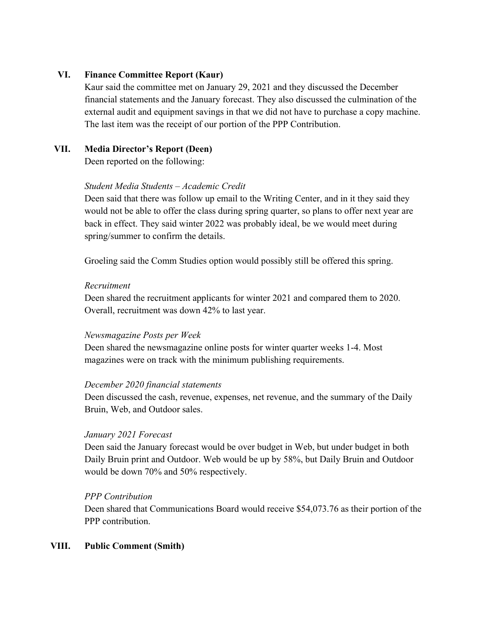## **VI. Finance Committee Report (Kaur)**

Kaur said the committee met on January 29, 2021 and they discussed the December financial statements and the January forecast. They also discussed the culmination of the external audit and equipment savings in that we did not have to purchase a copy machine. The last item was the receipt of our portion of the PPP Contribution.

# **VII. Media Director's Report (Deen)**

Deen reported on the following:

#### *Student Media Students – Academic Credit*

Deen said that there was follow up email to the Writing Center, and in it they said they would not be able to offer the class during spring quarter, so plans to offer next year are back in effect. They said winter 2022 was probably ideal, be we would meet during spring/summer to confirm the details.

Groeling said the Comm Studies option would possibly still be offered this spring.

#### *Recruitment*

Deen shared the recruitment applicants for winter 2021 and compared them to 2020. Overall, recruitment was down 42% to last year.

#### *Newsmagazine Posts per Week*

Deen shared the newsmagazine online posts for winter quarter weeks 1-4. Most magazines were on track with the minimum publishing requirements.

#### *December 2020 financial statements*

Deen discussed the cash, revenue, expenses, net revenue, and the summary of the Daily Bruin, Web, and Outdoor sales.

#### *January 2021 Forecast*

Deen said the January forecast would be over budget in Web, but under budget in both Daily Bruin print and Outdoor. Web would be up by 58%, but Daily Bruin and Outdoor would be down 70% and 50% respectively.

#### *PPP Contribution*

Deen shared that Communications Board would receive \$54,073.76 as their portion of the PPP contribution.

#### **VIII. Public Comment (Smith)**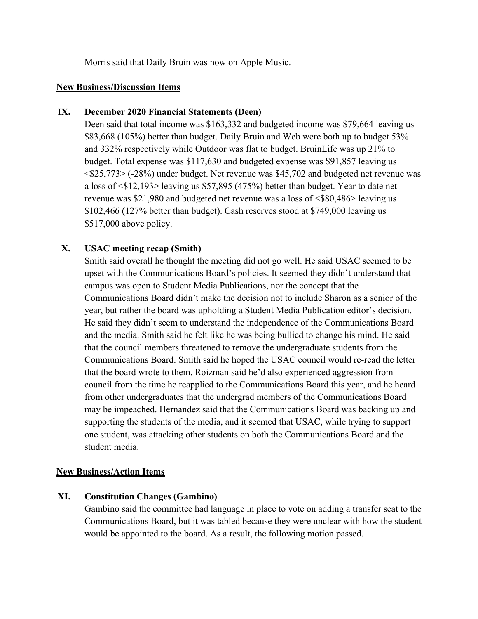Morris said that Daily Bruin was now on Apple Music.

#### **New Business/Discussion Items**

## **IX. December 2020 Financial Statements (Deen)**

Deen said that total income was \$163,332 and budgeted income was \$79,664 leaving us \$83,668 (105%) better than budget. Daily Bruin and Web were both up to budget 53% and 332% respectively while Outdoor was flat to budget. BruinLife was up 21% to budget. Total expense was \$117,630 and budgeted expense was \$91,857 leaving us <\$25,773> (-28%) under budget. Net revenue was \$45,702 and budgeted net revenue was a loss of <\$12,193> leaving us \$57,895 (475%) better than budget. Year to date net revenue was \$21,980 and budgeted net revenue was a loss of <\$80,486> leaving us \$102,466 (127% better than budget). Cash reserves stood at \$749,000 leaving us \$517,000 above policy.

# **X. USAC meeting recap (Smith)**

Smith said overall he thought the meeting did not go well. He said USAC seemed to be upset with the Communications Board's policies. It seemed they didn't understand that campus was open to Student Media Publications, nor the concept that the Communications Board didn't make the decision not to include Sharon as a senior of the year, but rather the board was upholding a Student Media Publication editor's decision. He said they didn't seem to understand the independence of the Communications Board and the media. Smith said he felt like he was being bullied to change his mind. He said that the council members threatened to remove the undergraduate students from the Communications Board. Smith said he hoped the USAC council would re-read the letter that the board wrote to them. Roizman said he'd also experienced aggression from council from the time he reapplied to the Communications Board this year, and he heard from other undergraduates that the undergrad members of the Communications Board may be impeached. Hernandez said that the Communications Board was backing up and supporting the students of the media, and it seemed that USAC, while trying to support one student, was attacking other students on both the Communications Board and the student media.

# **New Business/Action Items**

# **XI. Constitution Changes (Gambino)**

Gambino said the committee had language in place to vote on adding a transfer seat to the Communications Board, but it was tabled because they were unclear with how the student would be appointed to the board. As a result, the following motion passed.